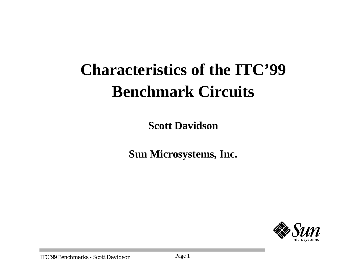# **Characteristics of the ITC'99 Benchmark Circuits**

**Scott Davidson**

**Sun Microsystems, Inc.**

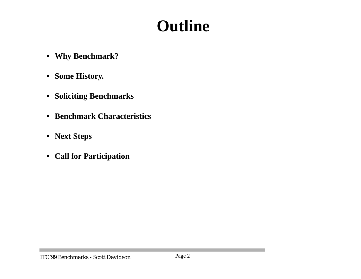## **Outline**

- **• Why Benchmark?**
- **• Some History.**
- **• Soliciting Benchmarks**
- **• Benchmark Characteristics**
- **• Next Steps**
- **• Call for Participation**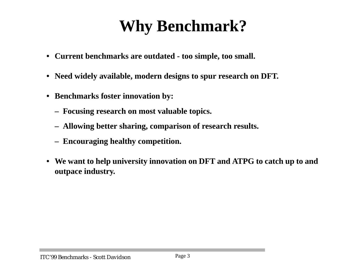## **Why Benchmark?**

- **• Current benchmarks are outdated too simple, too small.**
- **• Need widely available, modern designs to spur research on DFT.**
- **• Benchmarks foster innovation by:**
	- **– Focusing research on most valuable topics.**
	- **– Allowing better sharing, comparison of research results.**
	- **– Encouraging healthy competition.**
- We want to help university innovation on DFT and ATPG to catch up to and **outpace industry.**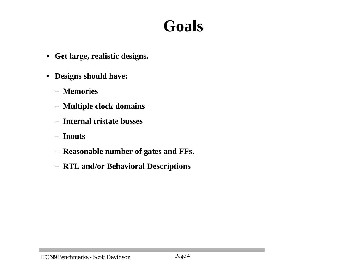#### **Goals**

- **• Get large, realistic designs.**
- **• Designs should have:**
	- **– Memories**
	- **– Multiple clock domains**
	- **– Internal tristate busses**
	- **– Inouts**
	- **– Reasonable number of gates and FFs.**
	- **– RTL and/or Behavioral Descriptions**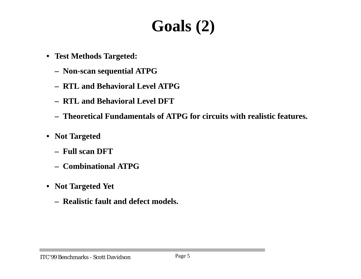## **Goals (2)**

- **• Test Methods Targeted:**
	- **– Non-scan sequential ATPG**
	- **– RTL and Behavioral Level ATPG**
	- **– RTL and Behavioral Level DFT**
	- **– Theoretical Fundamentals of ATPG for circuits with realistic features.**
- **• Not Targeted**
	- **– Full scan DFT**
	- **– Combinational ATPG**
- **• Not Targeted Yet**
	- **– Realistic fault and defect models.**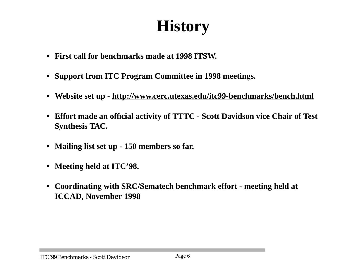## **History**

- **• First call for benchmarks made at 1998 ITSW.**
- **• Support from ITC Program Committee in 1998 meetings.**
- **• Website set up - http://www.cerc.utexas.edu/itc99-benchmarks/bench.html**
- **• Effort made an official activity of TTTC Scott Davidson vice Chair of Test Synthesis TAC.**
- **• Mailing list set up 150 members so far.**
- **• Meeting held at ITC'98.**
- **• Coordinating with SRC/Sematech benchmark effort - meeting held at ICCAD, November 1998**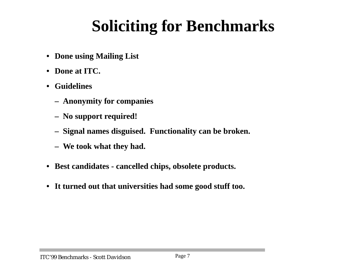# **Soliciting for Benchmarks**

- **• Done using Mailing List**
- **• Done at ITC.**
- **• Guidelines**
	- **– Anonymity for companies**
	- **– No support required!**
	- **– Signal names disguised. Functionality can be broken.**
	- **– We took what they had.**
- **• Best candidates cancelled chips, obsolete products.**
- **• It turned out that universities had some good stuff too.**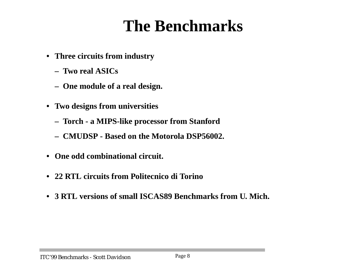## **The Benchmarks**

- **• Three circuits from industry**
	- **– Two real ASICs**
	- **– One module of a real design.**
- **• Two designs from universities**
	- **– Torch a MIPS-like processor from Stanford**
	- **– CMUDSP Based on the Motorola DSP56002.**
- **• One odd combinational circuit.**
- **• 22 RTL circuits from Politecnico di Torino**
- **• 3 RTL versions of small ISCAS89 Benchmarks from U. Mich.**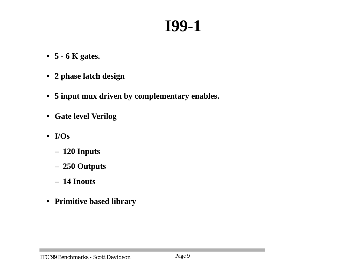## **I99-1**

- **• 5 6 K gates.**
- **• 2 phase latch design**
- **• 5 input mux driven by complementary enables.**
- **• Gate level Verilog**
- **• I/Os**
	- **– 120 Inputs**
	- **– 250 Outputs**
	- **– 14 Inouts**
- **• Primitive based library**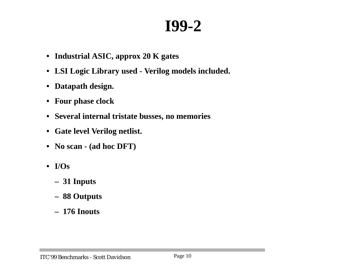#### **I99-2**

- **• Industrial ASIC, approx 20 K gates**
- **• LSI Logic Library used Verilog models included.**
- **• Datapath design.**
- **• Four phase clock**
- **• Several internal tristate busses, no memories**
- **• Gate level Verilog netlist.**
- **• No scan (ad hoc DFT)**
- **• I/Os**
	- **– 31 Inputs**
	- **– 88 Outputs**
	- **– 176 Inouts**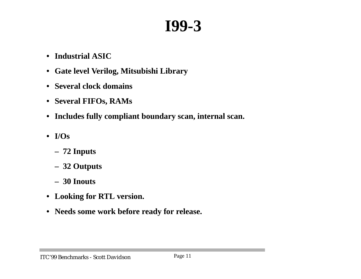#### **I99-3**

- **• Industrial ASIC**
- **• Gate level Verilog, Mitsubishi Library**
- **• Several clock domains**
- **• Several FIFOs, RAMs**
- **• Includes fully compliant boundary scan, internal scan.**
- **• I/Os**
	- **– 72 Inputs**
	- **– 32 Outputs**
	- **– 30 Inouts**
- **• Looking for RTL version.**
- **• Needs some work before ready for release.**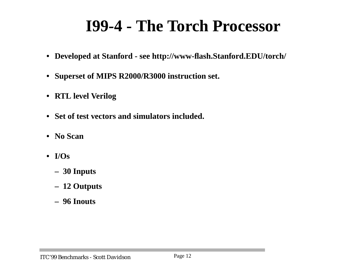## **I99-4 - The Torch Processor**

- **• Developed at Stanford see http://www-flash.Stanford.EDU/torch/**
- **• Superset of MIPS R2000/R3000 instruction set.**
- **• RTL level Verilog**
- **• Set of test vectors and simulators included.**
- **• No Scan**
- **• I/Os**
	- **– 30 Inputs**
	- **– 12 Outputs**
	- **– 96 Inouts**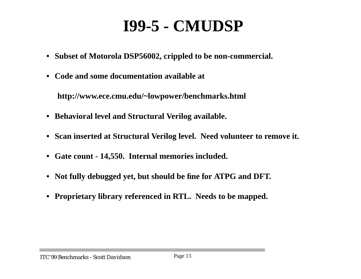## **I99-5 - CMUDSP**

- **• Subset of Motorola DSP56002, crippled to be non-commercial.**
- **• Code and some documentation available at**

**http://www.ece.cmu.edu/~lowpower/benchmarks.html**

- **• Behavioral level and Structural Verilog available.**
- **• Scan inserted at Structural Verilog level. Need volunteer to remove it.**
- **• Gate count - 14,550. Internal memories included.**
- **• Not fully debugged yet, but should be fine for ATPG and DFT.**
- **• Proprietary library referenced in RTL. Needs to be mapped.**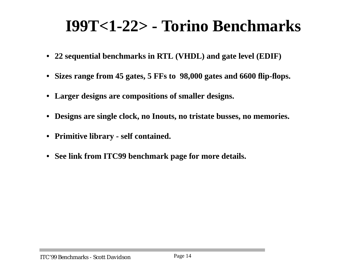### **I99T<1-22> - Torino Benchmarks**

- **• 22 sequential benchmarks in RTL (VHDL) and gate level (EDIF)**
- **• Sizes range from 45 gates, 5 FFs to 98,000 gates and 6600 flip-flops.**
- **• Larger designs are compositions of smaller designs.**
- **• Designs are single clock, no Inouts, no tristate busses, no memories.**
- **• Primitive library self contained.**
- **• See link from ITC99 benchmark page for more details.**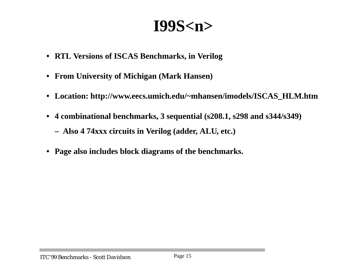#### **I99S<n>**

- **• RTL Versions of ISCAS Benchmarks, in Verilog**
- **• From University of Michigan (Mark Hansen)**
- **• Location: http://www.eecs.umich.edu/~mhansen/imodels/ISCAS\_HLM.htm**
- **• 4 combinational benchmarks, 3 sequential (s208.1, s298 and s344/s349)**
	- **– Also 4 74xxx circuits in Verilog (adder, ALU, etc.)**
- **• Page also includes block diagrams of the benchmarks.**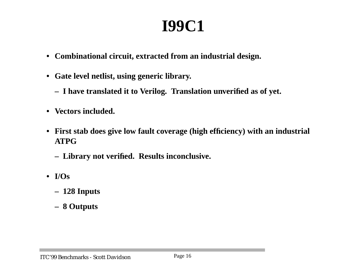#### **I99C1**

- **• Combinational circuit, extracted from an industrial design.**
- **• Gate level netlist, using generic library.**
	- **– I have translated it to Verilog. Translation unverified as of yet.**
- **• Vectors included.**
- **• First stab does give low fault coverage (high efficiency) with an industrial ATPG**
	- **– Library not verified. Results inconclusive.**
- **• I/Os**
	- **– 128 Inputs**
	- **– 8 Outputs**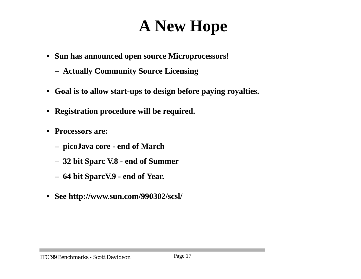## **A New Hope**

- **• Sun has announced open source Microprocessors!**
	- **– Actually Community Source Licensing**
- **• Goal is to allow start-ups to design before paying royalties.**
- **• Registration procedure will be required.**
- **• Processors are:**
	- **– picoJava core end of March**
	- **– 32 bit Sparc V.8 end of Summer**
	- **– 64 bit SparcV.9 end of Year.**
- **• See http://www.sun.com/990302/scsl/**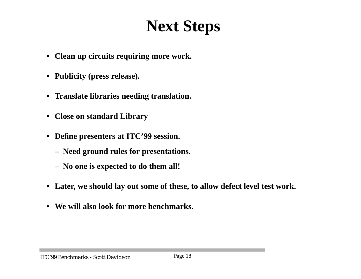## **Next Steps**

- **• Clean up circuits requiring more work.**
- **• Publicity (press release).**
- **• Translate libraries needing translation.**
- **• Close on standard Library**
- **• Define presenters at ITC'99 session.**
	- **– Need ground rules for presentations.**
	- **– No one is expected to do them all!**
- **• Later, we should lay out some of these, to allow defect level test work.**
- **• We will also look for more benchmarks.**